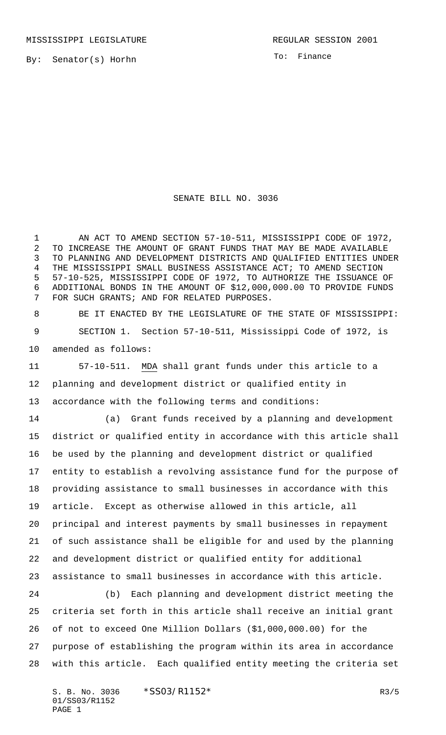By: Senator(s) Horhn

To: Finance

## SENATE BILL NO. 3036

1 AN ACT TO AMEND SECTION 57-10-511, MISSISSIPPI CODE OF 1972, TO INCREASE THE AMOUNT OF GRANT FUNDS THAT MAY BE MADE AVAILABLE TO PLANNING AND DEVELOPMENT DISTRICTS AND QUALIFIED ENTITIES UNDER THE MISSISSIPPI SMALL BUSINESS ASSISTANCE ACT; TO AMEND SECTION 57-10-525, MISSISSIPPI CODE OF 1972, TO AUTHORIZE THE ISSUANCE OF ADDITIONAL BONDS IN THE AMOUNT OF \$12,000,000.00 TO PROVIDE FUNDS FOR SUCH GRANTS; AND FOR RELATED PURPOSES.

 BE IT ENACTED BY THE LEGISLATURE OF THE STATE OF MISSISSIPPI: SECTION 1. Section 57-10-511, Mississippi Code of 1972, is amended as follows:

 57-10-511. MDA shall grant funds under this article to a planning and development district or qualified entity in accordance with the following terms and conditions:

 (a) Grant funds received by a planning and development district or qualified entity in accordance with this article shall be used by the planning and development district or qualified entity to establish a revolving assistance fund for the purpose of providing assistance to small businesses in accordance with this article. Except as otherwise allowed in this article, all principal and interest payments by small businesses in repayment of such assistance shall be eligible for and used by the planning and development district or qualified entity for additional assistance to small businesses in accordance with this article. (b) Each planning and development district meeting the

 criteria set forth in this article shall receive an initial grant of not to exceed One Million Dollars (\$1,000,000.00) for the purpose of establishing the program within its area in accordance with this article. Each qualified entity meeting the criteria set

S. B. No. 3036 \* SSO3/R1152\* R3/5 01/SS03/R1152 PAGE 1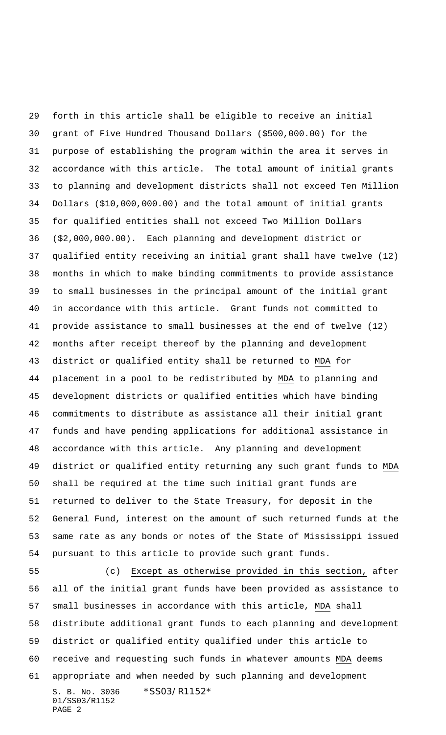forth in this article shall be eligible to receive an initial grant of Five Hundred Thousand Dollars (\$500,000.00) for the purpose of establishing the program within the area it serves in accordance with this article. The total amount of initial grants to planning and development districts shall not exceed Ten Million Dollars (\$10,000,000.00) and the total amount of initial grants for qualified entities shall not exceed Two Million Dollars (\$2,000,000.00). Each planning and development district or qualified entity receiving an initial grant shall have twelve (12) months in which to make binding commitments to provide assistance to small businesses in the principal amount of the initial grant in accordance with this article. Grant funds not committed to provide assistance to small businesses at the end of twelve (12) months after receipt thereof by the planning and development district or qualified entity shall be returned to MDA for placement in a pool to be redistributed by MDA to planning and development districts or qualified entities which have binding commitments to distribute as assistance all their initial grant funds and have pending applications for additional assistance in accordance with this article. Any planning and development district or qualified entity returning any such grant funds to MDA shall be required at the time such initial grant funds are returned to deliver to the State Treasury, for deposit in the General Fund, interest on the amount of such returned funds at the same rate as any bonds or notes of the State of Mississippi issued pursuant to this article to provide such grant funds. (c) Except as otherwise provided in this section, after

S. B. No. 3036 \*SS03/R1152\* 01/SS03/R1152 PAGE 2 all of the initial grant funds have been provided as assistance to small businesses in accordance with this article, MDA shall distribute additional grant funds to each planning and development district or qualified entity qualified under this article to receive and requesting such funds in whatever amounts MDA deems appropriate and when needed by such planning and development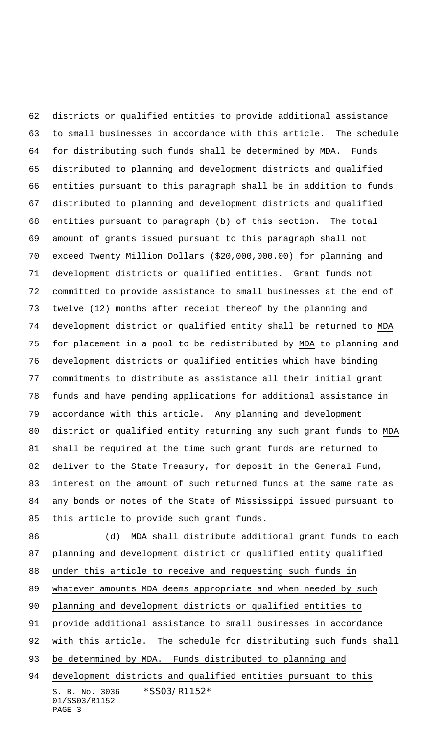districts or qualified entities to provide additional assistance to small businesses in accordance with this article. The schedule for distributing such funds shall be determined by MDA. Funds distributed to planning and development districts and qualified entities pursuant to this paragraph shall be in addition to funds distributed to planning and development districts and qualified entities pursuant to paragraph (b) of this section. The total amount of grants issued pursuant to this paragraph shall not exceed Twenty Million Dollars (\$20,000,000.00) for planning and development districts or qualified entities. Grant funds not committed to provide assistance to small businesses at the end of twelve (12) months after receipt thereof by the planning and development district or qualified entity shall be returned to MDA for placement in a pool to be redistributed by MDA to planning and development districts or qualified entities which have binding commitments to distribute as assistance all their initial grant funds and have pending applications for additional assistance in accordance with this article. Any planning and development district or qualified entity returning any such grant funds to MDA shall be required at the time such grant funds are returned to deliver to the State Treasury, for deposit in the General Fund, interest on the amount of such returned funds at the same rate as any bonds or notes of the State of Mississippi issued pursuant to this article to provide such grant funds. 86 (d) MDA shall distribute additional grant funds to each

 planning and development district or qualified entity qualified under this article to receive and requesting such funds in 89 whatever amounts MDA deems appropriate and when needed by such planning and development districts or qualified entities to provide additional assistance to small businesses in accordance with this article. The schedule for distributing such funds shall be determined by MDA. Funds distributed to planning and development districts and qualified entities pursuant to this

S. B. No. 3036 \*SS03/R1152\* 01/SS03/R1152 PAGE 3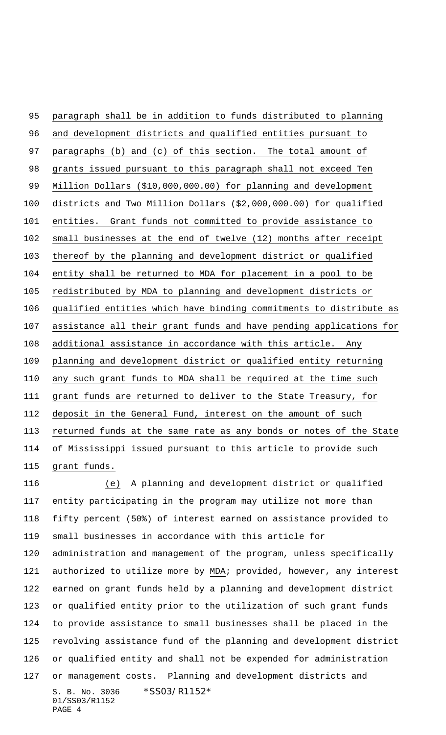paragraph shall be in addition to funds distributed to planning and development districts and qualified entities pursuant to 97 paragraphs (b) and (c) of this section. The total amount of grants issued pursuant to this paragraph shall not exceed Ten Million Dollars (\$10,000,000.00) for planning and development districts and Two Million Dollars (\$2,000,000.00) for qualified entities. Grant funds not committed to provide assistance to small businesses at the end of twelve (12) months after receipt thereof by the planning and development district or qualified entity shall be returned to MDA for placement in a pool to be redistributed by MDA to planning and development districts or qualified entities which have binding commitments to distribute as assistance all their grant funds and have pending applications for additional assistance in accordance with this article. Any planning and development district or qualified entity returning any such grant funds to MDA shall be required at the time such grant funds are returned to deliver to the State Treasury, for 112 deposit in the General Fund, interest on the amount of such returned funds at the same rate as any bonds or notes of the State of Mississippi issued pursuant to this article to provide such grant funds.

S. B. No. 3036 \*SS03/R1152\* 01/SS03/R1152 PAGE 4 (e) A planning and development district or qualified entity participating in the program may utilize not more than fifty percent (50%) of interest earned on assistance provided to small businesses in accordance with this article for administration and management of the program, unless specifically authorized to utilize more by MDA; provided, however, any interest earned on grant funds held by a planning and development district or qualified entity prior to the utilization of such grant funds to provide assistance to small businesses shall be placed in the revolving assistance fund of the planning and development district or qualified entity and shall not be expended for administration or management costs. Planning and development districts and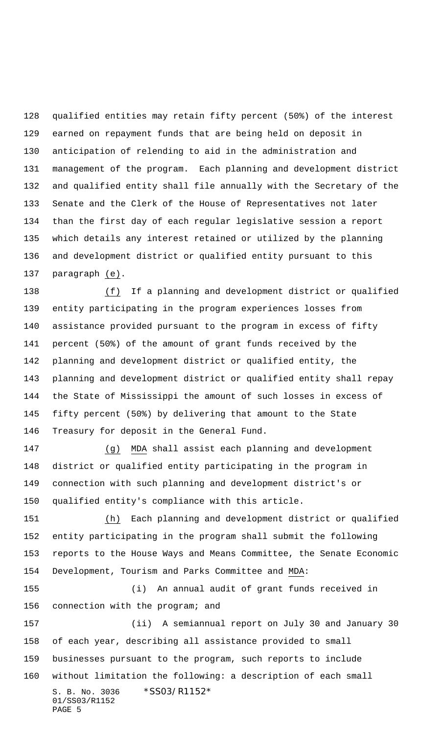qualified entities may retain fifty percent (50%) of the interest earned on repayment funds that are being held on deposit in anticipation of relending to aid in the administration and management of the program. Each planning and development district and qualified entity shall file annually with the Secretary of the Senate and the Clerk of the House of Representatives not later than the first day of each regular legislative session a report which details any interest retained or utilized by the planning and development district or qualified entity pursuant to this paragraph (e).

 (f) If a planning and development district or qualified entity participating in the program experiences losses from assistance provided pursuant to the program in excess of fifty percent (50%) of the amount of grant funds received by the planning and development district or qualified entity, the planning and development district or qualified entity shall repay the State of Mississippi the amount of such losses in excess of fifty percent (50%) by delivering that amount to the State Treasury for deposit in the General Fund.

 (g) MDA shall assist each planning and development district or qualified entity participating in the program in connection with such planning and development district's or qualified entity's compliance with this article.

 (h) Each planning and development district or qualified entity participating in the program shall submit the following reports to the House Ways and Means Committee, the Senate Economic Development, Tourism and Parks Committee and MDA:

 (i) An annual audit of grant funds received in connection with the program; and

S. B. No. 3036 \*SS03/R1152\* 01/SS03/R1152 PAGE 5 (ii) A semiannual report on July 30 and January 30 of each year, describing all assistance provided to small businesses pursuant to the program, such reports to include without limitation the following: a description of each small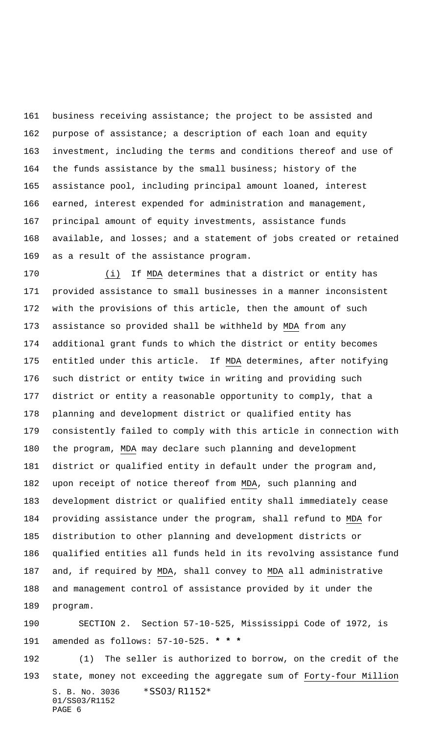business receiving assistance; the project to be assisted and purpose of assistance; a description of each loan and equity investment, including the terms and conditions thereof and use of the funds assistance by the small business; history of the assistance pool, including principal amount loaned, interest earned, interest expended for administration and management, principal amount of equity investments, assistance funds available, and losses; and a statement of jobs created or retained as a result of the assistance program.

 (i) If MDA determines that a district or entity has provided assistance to small businesses in a manner inconsistent with the provisions of this article, then the amount of such assistance so provided shall be withheld by MDA from any additional grant funds to which the district or entity becomes entitled under this article. If MDA determines, after notifying such district or entity twice in writing and providing such district or entity a reasonable opportunity to comply, that a planning and development district or qualified entity has consistently failed to comply with this article in connection with the program, MDA may declare such planning and development district or qualified entity in default under the program and, upon receipt of notice thereof from MDA, such planning and development district or qualified entity shall immediately cease providing assistance under the program, shall refund to MDA for distribution to other planning and development districts or qualified entities all funds held in its revolving assistance fund and, if required by MDA, shall convey to MDA all administrative and management control of assistance provided by it under the program.

 SECTION 2. Section 57-10-525, Mississippi Code of 1972, is amended as follows: 57-10-525. **\* \* \***

S. B. No. 3036 \*SS03/R1152\* 01/SS03/R1152 PAGE 6 (1) The seller is authorized to borrow, on the credit of the state, money not exceeding the aggregate sum of Forty-four Million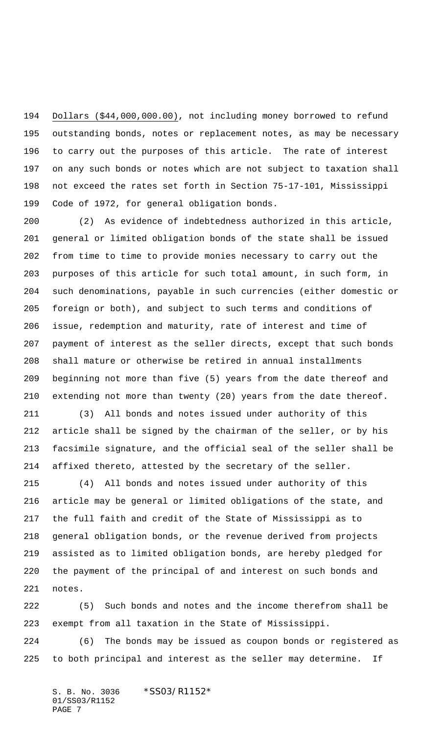Dollars (\$44,000,000.00), not including money borrowed to refund outstanding bonds, notes or replacement notes, as may be necessary to carry out the purposes of this article. The rate of interest on any such bonds or notes which are not subject to taxation shall not exceed the rates set forth in Section 75-17-101, Mississippi Code of 1972, for general obligation bonds.

 (2) As evidence of indebtedness authorized in this article, general or limited obligation bonds of the state shall be issued from time to time to provide monies necessary to carry out the purposes of this article for such total amount, in such form, in such denominations, payable in such currencies (either domestic or foreign or both), and subject to such terms and conditions of issue, redemption and maturity, rate of interest and time of payment of interest as the seller directs, except that such bonds shall mature or otherwise be retired in annual installments beginning not more than five (5) years from the date thereof and extending not more than twenty (20) years from the date thereof.

 (3) All bonds and notes issued under authority of this article shall be signed by the chairman of the seller, or by his facsimile signature, and the official seal of the seller shall be affixed thereto, attested by the secretary of the seller.

 (4) All bonds and notes issued under authority of this article may be general or limited obligations of the state, and the full faith and credit of the State of Mississippi as to general obligation bonds, or the revenue derived from projects assisted as to limited obligation bonds, are hereby pledged for the payment of the principal of and interest on such bonds and notes.

 (5) Such bonds and notes and the income therefrom shall be exempt from all taxation in the State of Mississippi.

 (6) The bonds may be issued as coupon bonds or registered as to both principal and interest as the seller may determine. If

S. B. No. 3036 \*SS03/R1152\* 01/SS03/R1152 PAGE 7